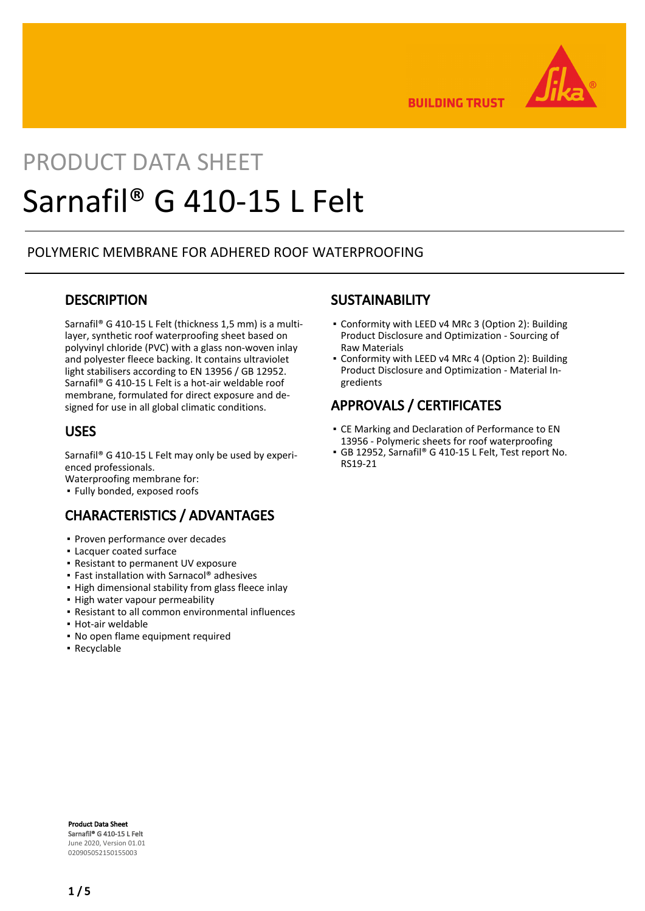

**BUILDING TRUST** 

# PRODUCT DATA SHEET Sarnafil® G 410-15 L Felt

### POLYMERIC MEMBRANE FOR ADHERED ROOF WATERPROOFING

### **DESCRIPTION**

Sarnafil® G 410-15 L Felt (thickness 1,5 mm) is a multilayer, synthetic roof waterproofing sheet based on polyvinyl chloride (PVC) with a glass non-woven inlay and polyester fleece backing. It contains ultraviolet light stabilisers according to EN 13956 / GB 12952. Sarnafil® G 410-15 L Felt is a hot-air weldable roof membrane, formulated for direct exposure and designed for use in all global climatic conditions.

### USES

Sarnafil® G 410-15 L Felt may only be used by experienced professionals.

Waterproofing membrane for:

▪ Fully bonded, exposed roofs

### CHARACTERISTICS / ADVANTAGES

- Proven performance over decades
- Lacquer coated surface
- Resistant to permanent UV exposure
- Fast installation with Sarnacol® adhesives
- **.** High dimensional stability from glass fleece inlay
- High water vapour permeability
- Resistant to all common environmental influences
- Hot-air weldable
- No open flame equipment required
- Recyclable

### **SUSTAINABILITY**

- Conformity with LEED v4 MRc 3 (Option 2): Building Product Disclosure and Optimization - Sourcing of Raw Materials
- Conformity with LEED v4 MRc 4 (Option 2): Building Product Disclosure and Optimization - Material Ingredients

### APPROVALS / CERTIFICATES

- CE Marking and Declaration of Performance to EN 13956 - Polymeric sheets for roof waterproofing
- GB 12952, Sarnafil® G 410-15 L Felt, Test report No. RS19-21

Product Data Sheet Sarnafil® G 410-15 L Felt June 2020, Version 01.01 020905052150155003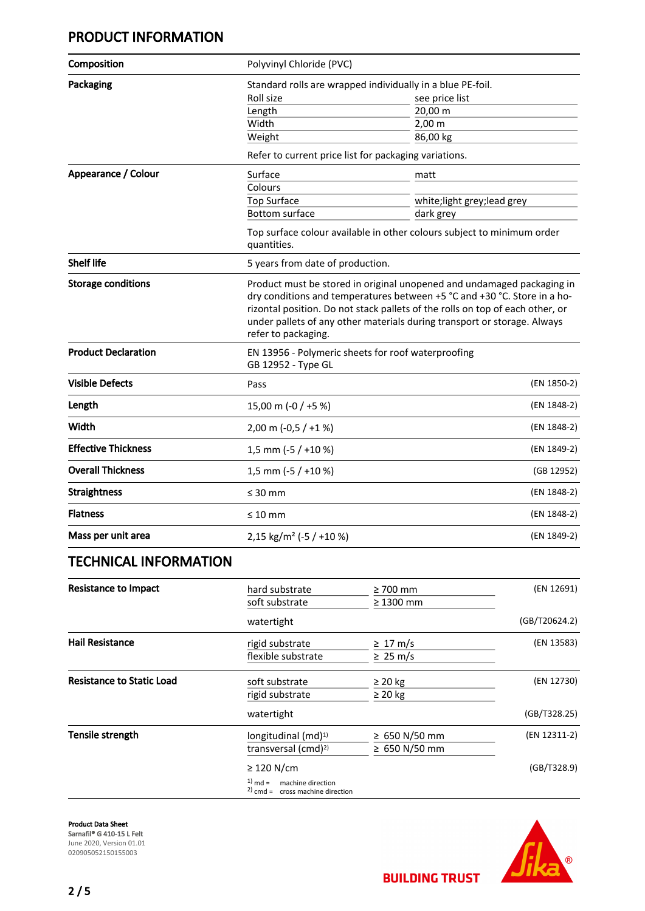### PRODUCT INFORMATION

| Composition                      | Polyvinyl Chloride (PVC)                                                                                                                                                                                                                                                                                                               |                                                       |               |
|----------------------------------|----------------------------------------------------------------------------------------------------------------------------------------------------------------------------------------------------------------------------------------------------------------------------------------------------------------------------------------|-------------------------------------------------------|---------------|
| Packaging                        | Standard rolls are wrapped individually in a blue PE-foil.                                                                                                                                                                                                                                                                             |                                                       |               |
|                                  | Roll size                                                                                                                                                                                                                                                                                                                              | see price list                                        |               |
|                                  | Length                                                                                                                                                                                                                                                                                                                                 | 20,00 m                                               |               |
|                                  | Width                                                                                                                                                                                                                                                                                                                                  | 2,00 m                                                |               |
|                                  | Weight                                                                                                                                                                                                                                                                                                                                 | 86,00 kg                                              |               |
|                                  |                                                                                                                                                                                                                                                                                                                                        | Refer to current price list for packaging variations. |               |
| Appearance / Colour              | Surface                                                                                                                                                                                                                                                                                                                                | matt                                                  |               |
|                                  | Colours                                                                                                                                                                                                                                                                                                                                |                                                       |               |
|                                  | <b>Top Surface</b><br><b>Bottom surface</b>                                                                                                                                                                                                                                                                                            | white; light grey; lead grey<br>dark grey             |               |
|                                  |                                                                                                                                                                                                                                                                                                                                        |                                                       |               |
|                                  | Top surface colour available in other colours subject to minimum order<br>quantities.                                                                                                                                                                                                                                                  |                                                       |               |
| <b>Shelf life</b>                | 5 years from date of production.                                                                                                                                                                                                                                                                                                       |                                                       |               |
| <b>Storage conditions</b>        | Product must be stored in original unopened and undamaged packaging in<br>dry conditions and temperatures between +5 °C and +30 °C. Store in a ho-<br>rizontal position. Do not stack pallets of the rolls on top of each other, or<br>under pallets of any other materials during transport or storage. Always<br>refer to packaging. |                                                       |               |
| <b>Product Declaration</b>       | EN 13956 - Polymeric sheets for roof waterproofing<br>GB 12952 - Type GL                                                                                                                                                                                                                                                               |                                                       |               |
| <b>Visible Defects</b>           | Pass                                                                                                                                                                                                                                                                                                                                   |                                                       | (EN 1850-2)   |
| Length                           | 15,00 m (-0 / +5 %)                                                                                                                                                                                                                                                                                                                    |                                                       | (EN 1848-2)   |
| Width                            | 2,00 m $(-0.5 / +1%)$                                                                                                                                                                                                                                                                                                                  |                                                       | (EN 1848-2)   |
| <b>Effective Thickness</b>       | 1,5 mm (-5 / +10 %)                                                                                                                                                                                                                                                                                                                    |                                                       | (EN 1849-2)   |
| <b>Overall Thickness</b>         | 1,5 mm (-5 / +10 %)                                                                                                                                                                                                                                                                                                                    |                                                       | (GB 12952)    |
| <b>Straightness</b>              | $\leq 30$ mm                                                                                                                                                                                                                                                                                                                           |                                                       | (EN 1848-2)   |
| <b>Flatness</b>                  | $\leq 10$ mm                                                                                                                                                                                                                                                                                                                           |                                                       | (EN 1848-2)   |
| Mass per unit area               | 2,15 kg/m <sup>2</sup> (-5 / +10 %)                                                                                                                                                                                                                                                                                                    |                                                       | (EN 1849-2)   |
| <b>TECHNICAL INFORMATION</b>     |                                                                                                                                                                                                                                                                                                                                        |                                                       |               |
| <b>Resistance to Impact</b>      | hard substrate                                                                                                                                                                                                                                                                                                                         | $\geq 700$ mm                                         | (EN 12691)    |
|                                  | soft substrate                                                                                                                                                                                                                                                                                                                         | $\geq 1300$ mm                                        |               |
|                                  | watertight                                                                                                                                                                                                                                                                                                                             |                                                       | (GB/T20624.2) |
| <b>Hail Resistance</b>           | rigid substrate                                                                                                                                                                                                                                                                                                                        | $\geq 17 \text{ m/s}$                                 | (EN 13583)    |
|                                  | flexible substrate                                                                                                                                                                                                                                                                                                                     | $\geq 25 \text{ m/s}$                                 |               |
| <b>Resistance to Static Load</b> | soft substrate                                                                                                                                                                                                                                                                                                                         | $\geq$ 20 kg                                          | (EN 12730)    |
|                                  | rigid substrate                                                                                                                                                                                                                                                                                                                        | $\geq 20$ kg                                          |               |
|                                  | watertight                                                                                                                                                                                                                                                                                                                             |                                                       | (GB/T328.25)  |
| Tensile strength                 | longitudinal (md) <sup>1)</sup>                                                                                                                                                                                                                                                                                                        | ≥ 650 N/50 mm                                         | (EN 12311-2)  |
|                                  | transversal (cmd) <sup>2)</sup>                                                                                                                                                                                                                                                                                                        | ≥ 650 N/50 mm                                         |               |
|                                  | $\geq$ 120 N/cm                                                                                                                                                                                                                                                                                                                        |                                                       | (GB/T328.9)   |

 $1)$  md = machine direction

 $2)$  cmd = cross machine direction

Product Data Sheet Sarnafil® G 410-15 L Felt June 2020, Version 01.01 020905052150155003

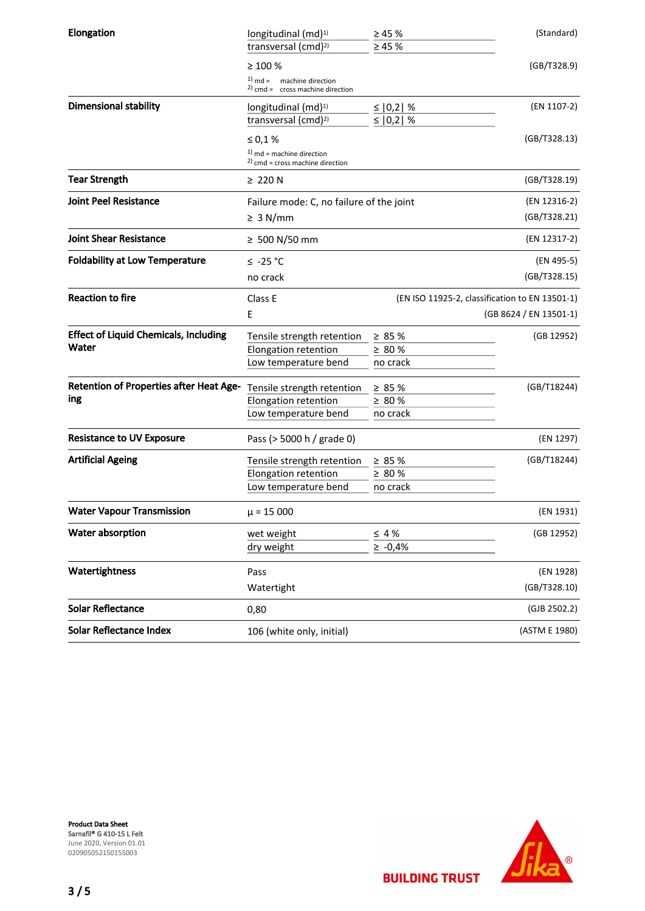| Elongation                                     | longitudinal (md) <sup>1)</sup>                                      | $\geq 45 \%$               | (Standard)             |
|------------------------------------------------|----------------------------------------------------------------------|----------------------------|------------------------|
|                                                | transversal (cmd) <sup>2)</sup>                                      | $\geq 45 \%$               |                        |
|                                                | $\geq 100 \%$                                                        |                            | (GB/T328.9)            |
|                                                | $1)$ md = machine direction                                          |                            |                        |
|                                                | $2)$ cmd = cross machine direction                                   |                            |                        |
| <b>Dimensional stability</b>                   | longitudinal (md) <sup>1)</sup>                                      | ≤   0,2   %<br>≤ $ 0,2 $ % | (EN 1107-2)            |
|                                                | transversal (cmd) <sup>2)</sup>                                      |                            |                        |
|                                                | $\leq 0.1$ %                                                         |                            | (GB/T328.13)           |
|                                                | $1)$ md = machine direction<br>$^{2)}$ cmd = cross machine direction |                            |                        |
| <b>Tear Strength</b>                           | $\geq 220$ N                                                         |                            | (GB/T328.19)           |
| <b>Joint Peel Resistance</b>                   | Failure mode: C, no failure of the joint                             |                            | (EN 12316-2)           |
|                                                | $\geq 3$ N/mm                                                        |                            | (GB/T328.21)           |
| <b>Joint Shear Resistance</b>                  | $≥$ 500 N/50 mm                                                      |                            | (EN 12317-2)           |
| <b>Foldability at Low Temperature</b>          | $\leq$ -25 °C                                                        |                            | (EN 495-5)             |
|                                                | no crack                                                             |                            | (GB/T328.15)           |
| <b>Reaction to fire</b>                        | (EN ISO 11925-2, classification to EN 13501-1)<br>Class E            |                            |                        |
|                                                | E                                                                    |                            | (GB 8624 / EN 13501-1) |
| <b>Effect of Liquid Chemicals, Including</b>   | Tensile strength retention                                           | $\geq 85 \%$               | (GB 12952)             |
| Water                                          | Elongation retention                                                 | $\geq 80 \%$               |                        |
|                                                | Low temperature bend                                                 | no crack                   |                        |
| <b>Retention of Properties after Heat Age-</b> | Tensile strength retention                                           | $\geq 85 \%$               | (GB/T18244)            |
| ing                                            | Elongation retention                                                 | $\geq 80 \%$               |                        |
|                                                | Low temperature bend                                                 | no crack                   |                        |
| <b>Resistance to UV Exposure</b>               | Pass (> 5000 h / grade 0)                                            |                            | (EN 1297)              |
|                                                |                                                                      |                            |                        |
| <b>Artificial Ageing</b>                       | Tensile strength retention                                           | $\geq 85 \%$               | (GB/T18244)            |
|                                                | Elongation retention                                                 | $\geq 80$ %                |                        |
|                                                | Low temperature bend                                                 | no crack                   |                        |
| <b>Water Vapour Transmission</b>               | $\mu$ = 15 000                                                       |                            | (EN 1931)              |
| Water absorption                               | wet weight                                                           | $\leq 4\%$                 | (GB 12952)             |
|                                                | dry weight                                                           | $\ge -0.4\%$               |                        |
| Watertightness                                 | Pass                                                                 |                            | (EN 1928)              |
|                                                | Watertight                                                           |                            | (GB/T328.10)           |
| <b>Solar Reflectance</b>                       | 0,80                                                                 |                            | (GJB 2502.2)           |
| <b>Solar Reflectance Index</b>                 | 106 (white only, initial)                                            |                            | (ASTM E 1980)          |



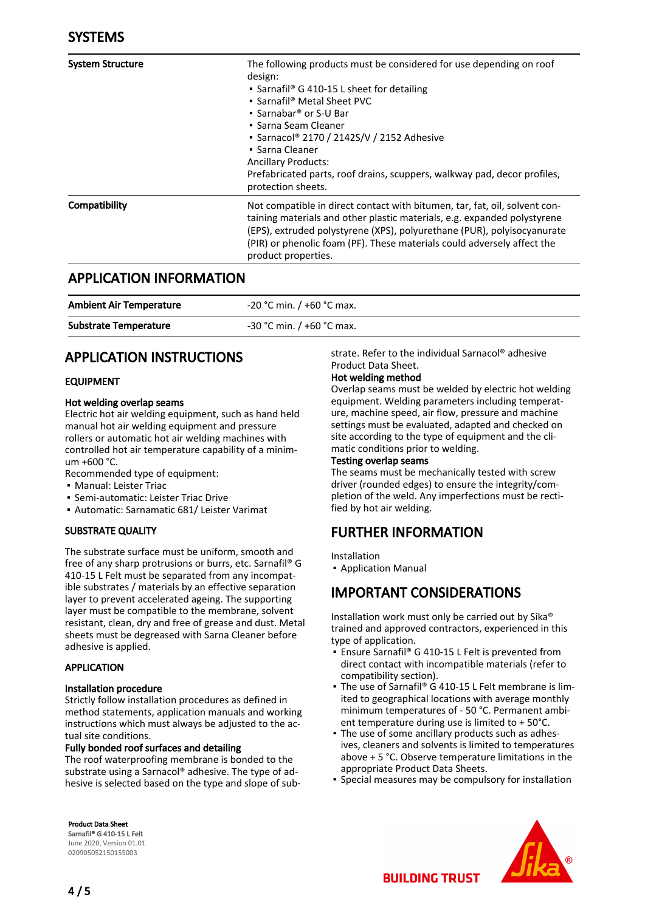| <b>System Structure</b> | The following products must be considered for use depending on roof<br>design:<br>• Sarnafil <sup>®</sup> G 410-15 L sheet for detailing<br>• Sarnafil® Metal Sheet PVC<br>• Sarnabar <sup>®</sup> or S-U Bar<br>• Sarna Seam Cleaner<br>• Sarnacol® 2170 / 2142S/V / 2152 Adhesive<br>• Sarna Cleaner<br><b>Ancillary Products:</b><br>Prefabricated parts, roof drains, scuppers, walkway pad, decor profiles,<br>protection sheets. |
|-------------------------|----------------------------------------------------------------------------------------------------------------------------------------------------------------------------------------------------------------------------------------------------------------------------------------------------------------------------------------------------------------------------------------------------------------------------------------|
| Compatibility           | Not compatible in direct contact with bitumen, tar, fat, oil, solvent con-<br>taining materials and other plastic materials, e.g. expanded polystyrene<br>(EPS), extruded polystyrene (XPS), polyurethane (PUR), polyisocyanurate<br>(PIR) or phenolic foam (PF). These materials could adversely affect the<br>product properties.                                                                                                    |

### APPLICATION INFORMATION

| <b>Ambient Air Temperature</b> | $-20$ °C min. / +60 °C max. |
|--------------------------------|-----------------------------|
| <b>Substrate Temperature</b>   | $-30$ °C min. / +60 °C max. |

### APPLICATION INSTRUCTIONS

#### EQUIPMENT

#### Hot welding overlap seams

Electric hot air welding equipment, such as hand held manual hot air welding equipment and pressure rollers or automatic hot air welding machines with controlled hot air temperature capability of a minimum +600 °C.

- Recommended type of equipment:
- Manual: Leister Triac
- Semi-automatic: Leister Triac Drive
- Automatic: Sarnamatic 681/ Leister Varimat

### SUBSTRATE QUALITY

The substrate surface must be uniform, smooth and free of any sharp protrusions or burrs, etc. Sarnafil® G 410-15 L Felt must be separated from any incompatible substrates / materials by an effective separation layer to prevent accelerated ageing. The supporting layer must be compatible to the membrane, solvent resistant, clean, dry and free of grease and dust. Metal sheets must be degreased with Sarna Cleaner before adhesive is applied.

#### APPLICATION

#### Installation procedure

Strictly follow installation procedures as defined in method statements, application manuals and working instructions which must always be adjusted to the actual site conditions.

#### Fully bonded roof surfaces and detailing

The roof waterproofing membrane is bonded to the substrate using a Sarnacol® adhesive. The type of adhesive is selected based on the type and slope of sub-

Product Data Sheet Sarnafil® G 410-15 L Felt June 2020, Version 01.01 020905052150155003

strate. Refer to the individual Sarnacol® adhesive Product Data Sheet.

#### Hot welding method

Overlap seams must be welded by electric hot welding equipment. Welding parameters including temperature, machine speed, air flow, pressure and machine settings must be evaluated, adapted and checked on site according to the type of equipment and the climatic conditions prior to welding.

#### Testing overlap seams

The seams must be mechanically tested with screw driver (rounded edges) to ensure the integrity/completion of the weld. Any imperfections must be rectified by hot air welding.

### FURTHER INFORMATION

Installation

▪ Application Manual

### IMPORTANT CONSIDERATIONS

Installation work must only be carried out by Sika® trained and approved contractors, experienced in this type of application.

- Ensure Sarnafil® G 410-15 L Felt is prevented from direct contact with incompatible materials (refer to compatibility section).
- The use of Sarnafil® G 410-15 L Felt membrane is limited to geographical locations with average monthly minimum temperatures of - 50 °C. Permanent ambient temperature during use is limited to + 50°C.
- The use of some ancillary products such as adhes-▪ ives, cleaners and solvents is limited to temperatures above + 5 °C. Observe temperature limitations in the appropriate Product Data Sheets.
- **Special measures may be compulsory for installation**